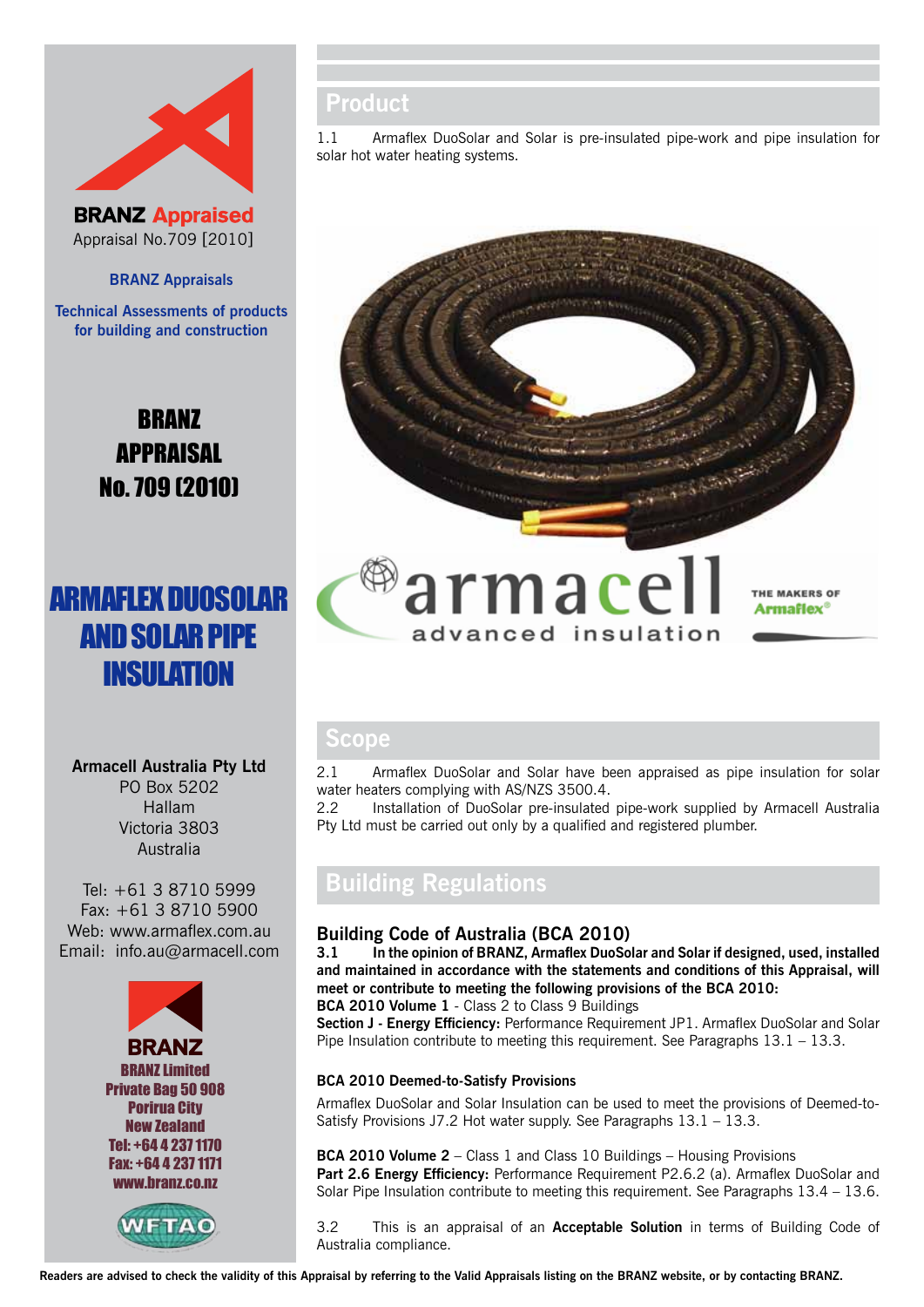

**BRANZ Appraised** Appraisal No.709 [2010]

### **BRANZ Appraisals**

**Technical Assessments of products for building and construction**

> BRANZ APPRAISAL No. 709 (2010)

# armaflex duosolar **AND SOLAR PIPE INSULATION**

**Armacell Australia Pty Ltd** PO Box 5202 Hallam Victoria 3803 Australia

Tel: +61 3 8710 5999 Fax: +61 3 8710 5900 Web: www.armaflex.com.au Email: info.au@armacell.com





# **Product**

1.1 Armaflex DuoSolar and Solar is pre-insulated pipe-work and pipe insulation for solar hot water heating systems.



# **Scope**

2.1 Armaflex DuoSolar and Solar have been appraised as pipe insulation for solar water heaters complying with AS/NZS 3500.4.

2.2 Installation of DuoSolar pre-insulated pipe-work supplied by Armacell Australia Pty Ltd must be carried out only by a qualified and registered plumber.

# **Building Regulations**

### **Building Code of Australia (BCA 2010)**

**3.1 In the opinion of BRANZ, Armaflex DuoSolar and Solar if designed, used, installed and maintained in accordance with the statements and conditions of this Appraisal, will meet or contribute to meeting the following provisions of the BCA 2010: BCA 2010 Volume 1** - Class 2 to Class 9 Buildings

**Section J - Energy Efficiency:** Performance Requirement JP1. Armaflex DuoSolar and Solar Pipe Insulation contribute to meeting this requirement. See Paragraphs 13.1 – 13.3.

#### **BCA 2010 Deemed-to-Satisfy Provisions**

Armaflex DuoSolar and Solar Insulation can be used to meet the provisions of Deemed-to-Satisfy Provisions J7.2 Hot water supply. See Paragraphs 13.1 – 13.3.

**BCA 2010 Volume 2** – Class 1 and Class 10 Buildings – Housing Provisions Part 2.6 Energy Efficiency: Performance Requirement P2.6.2 (a). Armaflex DuoSolar and Solar Pipe Insulation contribute to meeting this requirement. See Paragraphs 13.4 – 13.6.

3.2 This is an appraisal of an **Acceptable Solution** in terms of Building Code of Australia compliance.

**Readers are advised to check the validity of this Appraisal by referring to the Valid Appraisals listing on the BRANZ website, or by contacting BRANZ.**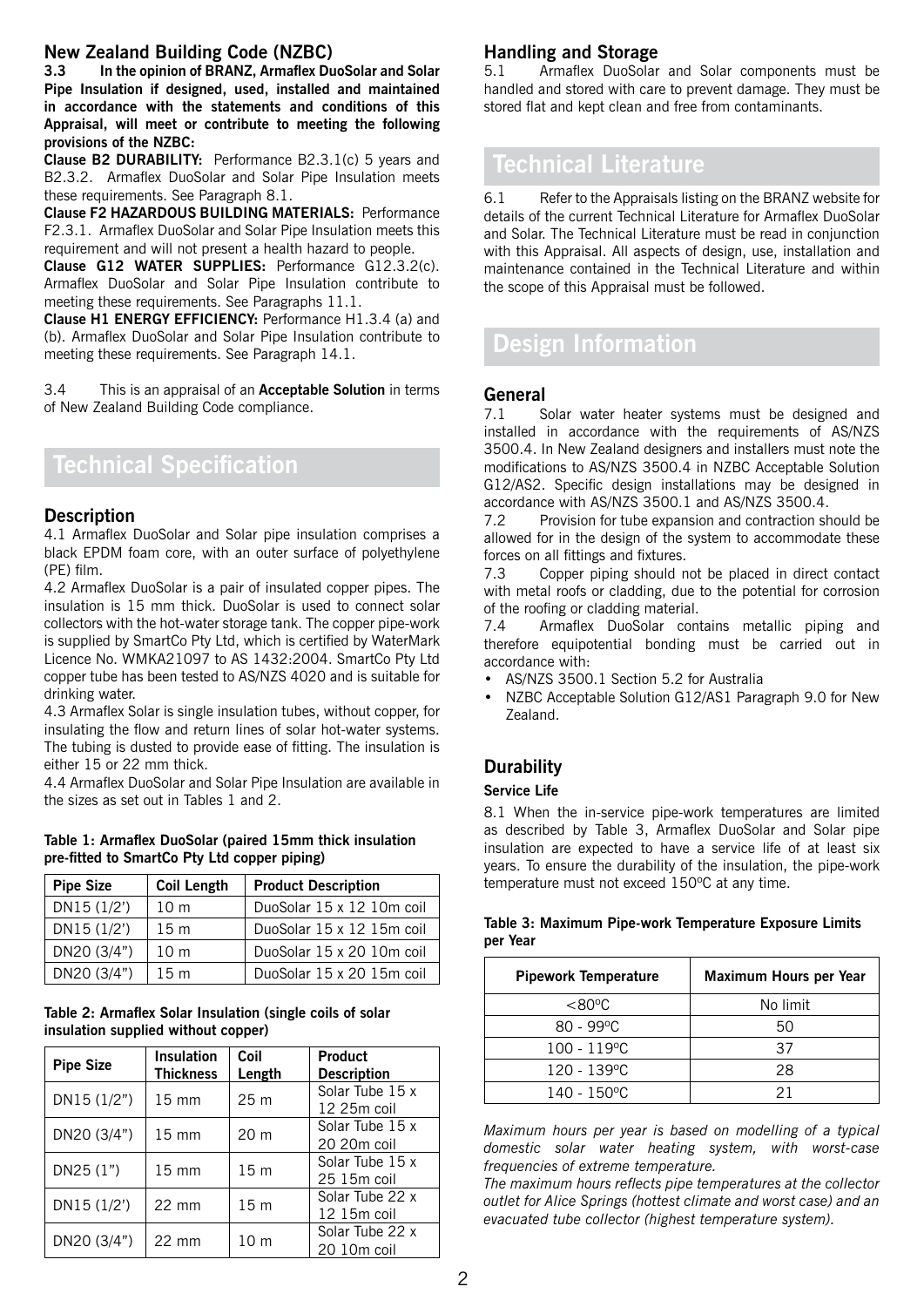### **New Zealand Building Code (NZBC)**

**3.3 In the opinion of BRANZ, Armaflex DuoSolar and Solar Pipe Insulation if designed, used, installed and maintained in accordance with the statements and conditions of this Appraisal, will meet or contribute to meeting the following provisions of the NZBC:**

**Clause B2 DURABILITY:** Performance B2.3.1(c) 5 years and B2.3.2. Armaflex DuoSolar and Solar Pipe Insulation meets these requirements. See Paragraph 8.1.

**Clause F2 HAZARDOUS BUILDING MATERIALS:** Performance F2.3.1. Armaflex DuoSolar and Solar Pipe Insulation meets this requirement and will not present a health hazard to people.

**Clause G12 WATER SUPPLIES:** Performance G12.3.2(c). Armaflex DuoSolar and Solar Pipe Insulation contribute to meeting these requirements. See Paragraphs 11.1.

**Clause H1 ENERGY EFFICIENCY:** Performance H1.3.4 (a) and (b). Armaflex DuoSolar and Solar Pipe Insulation contribute to meeting these requirements. See Paragraph 14.1.

3.4 This is an appraisal of an **Acceptable Solution** in terms of New Zealand Building Code compliance.

# **Technical Specification**

### **Description**

4.1 Armaflex DuoSolar and Solar pipe insulation comprises a black EPDM foam core, with an outer surface of polyethylene (PE) film.

4.2 Armaflex DuoSolar is a pair of insulated copper pipes. The insulation is 15 mm thick. DuoSolar is used to connect solar collectors with the hot-water storage tank. The copper pipe-work is supplied by SmartCo Pty Ltd, which is certified by WaterMark Licence No. WMKA21097 to AS 1432:2004. SmartCo Pty Ltd copper tube has been tested to AS/NZS 4020 and is suitable for drinking water.

4.3 Armaflex Solar is single insulation tubes, without copper, for insulating the flow and return lines of solar hot-water systems. The tubing is dusted to provide ease of fitting. The insulation is either 15 or 22 mm thick.

4.4 Armaflex DuoSolar and Solar Pipe Insulation are available in the sizes as set out in Tables 1 and 2.

#### **Table 1: Armaflex DuoSolar (paired 15mm thick insulation pre-fitted to SmartCo Pty Ltd copper piping)**

| <b>Pipe Size</b> | <b>Coil Length</b> | <b>Product Description</b> |
|------------------|--------------------|----------------------------|
| DN15(1/2')       | 10 <sub>m</sub>    | DuoSolar 15 x 12 10m coil  |
| DN15(1/2')       | 15m                | DuoSolar 15 x 12 15m coil  |
| DN20 (3/4")      | 10 <sub>m</sub>    | DuoSolar 15 x 20 10m coil  |
| DN20 (3/4")      | 15m                | DuoSolar 15 x 20 15m coil  |

#### **Table 2: Armaflex Solar Insulation (single coils of solar insulation supplied without copper)**

| <b>Pipe Size</b> | <b>Insulation</b><br>Thickness | Coil<br>Length  | <b>Product</b><br><b>Description</b> |
|------------------|--------------------------------|-----------------|--------------------------------------|
| DN15(1/2")       | $15 \text{ mm}$                | 25 <sub>m</sub> | Solar Tube 15 x<br>12 25m coil       |
| DN20 (3/4")      | $15 \text{ mm}$                | 20 <sub>m</sub> | Solar Tube 15 x<br>20 20m coil       |
| DN25 (1")        | $15 \text{ mm}$                | 15 <sub>m</sub> | Solar Tube 15 x<br>25 15m coil       |
| DN15 (1/2')      | $22 \text{ mm}$                | 15 <sub>m</sub> | Solar Tube 22 x<br>12 15m coil       |
| DN20 (3/4")      | $22 \text{ mm}$                | 10 <sub>m</sub> | Solar Tube 22 x<br>20 10m coil       |

## **Handling and Storage**

5.1 Armaflex DuoSolar and Solar components must be handled and stored with care to prevent damage. They must be stored flat and kept clean and free from contaminants.

# **Technical Literature**

6.1 Refer to the Appraisals listing on the BRANZ website for details of the current Technical Literature for Armaflex DuoSolar and Solar. The Technical Literature must be read in conjunction with this Appraisal. All aspects of design, use, installation and maintenance contained in the Technical Literature and within the scope of this Appraisal must be followed.

# **Design Information**

### **General**

7.1 Solar water heater systems must be designed and installed in accordance with the requirements of AS/NZS 3500.4. In New Zealand designers and installers must note the modifications to AS/NZS 3500.4 in NZBC Acceptable Solution G12/AS2. Specific design installations may be designed in accordance with AS/NZS 3500.1 and AS/NZS 3500.4.

7.2 Provision for tube expansion and contraction should be allowed for in the design of the system to accommodate these forces on all fittings and fixtures.

7.3 Copper piping should not be placed in direct contact with metal roofs or cladding, due to the potential for corrosion of the roofing or cladding material.

7.4 Armaflex DuoSolar contains metallic piping and therefore equipotential bonding must be carried out in accordance with:

- • AS/NZS 3500.1 Section 5.2 for Australia
- NZBC Acceptable Solution G12/AS1 Paragraph 9.0 for New Zealand.

## **Durability**

### **Service Life**

8.1 When the in-service pipe-work temperatures are limited as described by Table 3, Armaflex DuoSolar and Solar pipe insulation are expected to have a service life of at least six years. To ensure the durability of the insulation, the pipe-work temperature must not exceed 150ºC at any time.

# **Pipework Temperature Maximum Hours per Year**  <80ºC No limit  $80 - 99^{\circ}$ C 50 100 - 119 °C 37 120 - 139ºC 28 140 - 150ºC 21

**Table 3: Maximum Pipe-work Temperature Exposure Limits per Year**

*Maximum hours per year is based on modelling of a typical domestic solar water heating system, with worst-case frequencies of extreme temperature.* 

*The maximum hours reflects pipe temperatures at the collector outlet for Alice Springs (hottest climate and worst case) and an evacuated tube collector (highest temperature system).*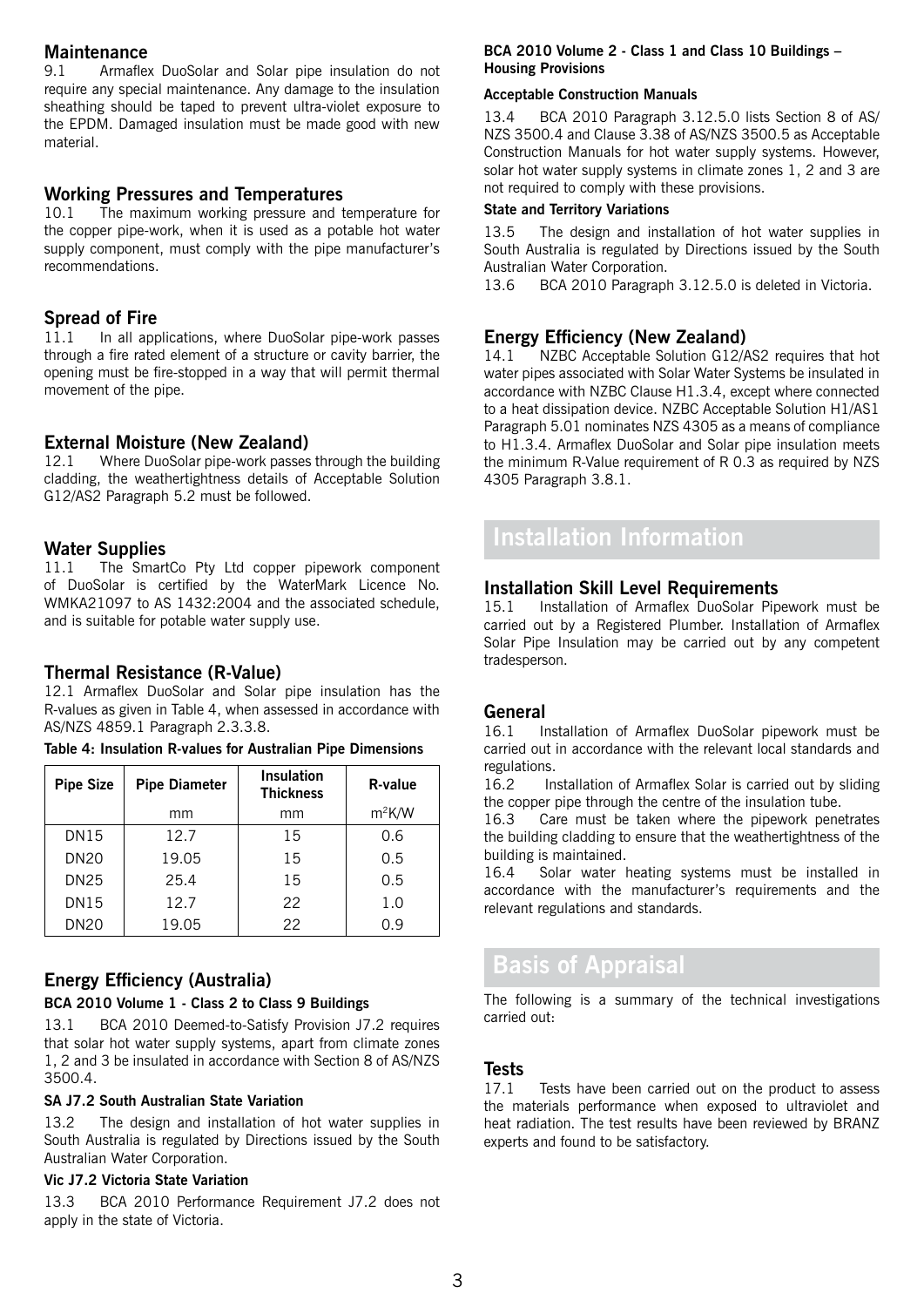### **Maintenance**

9.1 Armaflex DuoSolar and Solar pipe insulation do not require any special maintenance. Any damage to the insulation sheathing should be taped to prevent ultra-violet exposure to the EPDM. Damaged insulation must be made good with new material.

### **Working Pressures and Temperatures**

10.1 The maximum working pressure and temperature for the copper pipe-work, when it is used as a potable hot water supply component, must comply with the pipe manufacturer's recommendations.

# **Spread of Fire**<br>11.1 In all approach

In all applications, where DuoSolar pipe-work passes through a fire rated element of a structure or cavity barrier, the opening must be fire-stopped in a way that will permit thermal movement of the pipe.

## **External Moisture (New Zealand)**

12.1 Where DuoSolar pipe-work passes through the building cladding, the weathertightness details of Acceptable Solution G12/AS2 Paragraph 5.2 must be followed.

# **Water Supplies**<br>11.1 The Smart

The SmartCo Pty Ltd copper pipework component of DuoSolar is certified by the WaterMark Licence No. WMKA21097 to AS 1432:2004 and the associated schedule, and is suitable for potable water supply use.

## **Thermal Resistance (R-Value)**

12.1 Armaflex DuoSolar and Solar pipe insulation has the R-values as given in Table 4, when assessed in accordance with AS/NZS 4859.1 Paragraph 2.3.3.8.

|  |  |  | Table 4: Insulation R-values for Australian Pipe Dimensions |
|--|--|--|-------------------------------------------------------------|
|  |  |  |                                                             |

| <b>Pipe Size</b> | <b>Pipe Diameter</b> | Insulation<br><b>Thickness</b> | R-value  |
|------------------|----------------------|--------------------------------|----------|
|                  | mm                   | mm                             | $m^2K/W$ |
| <b>DN15</b>      | 12.7                 | 15                             | 0.6      |
| <b>DN20</b>      | 19.05                | 15                             | 0.5      |
| <b>DN25</b>      | 25.4                 | 15                             | 0.5      |
| <b>DN15</b>      | 12.7                 | 22                             | 1.0      |
| <b>DN20</b>      | 19.05                | 22                             | 0.9      |

## **Energy Efficiency (Australia)**

### **BCA 2010 Volume 1 - Class 2 to Class 9 Buildings**

13.1 BCA 2010 Deemed-to-Satisfy Provision J7.2 requires that solar hot water supply systems, apart from climate zones 1, 2 and 3 be insulated in accordance with Section 8 of AS/NZS 3500.4.

### **SA J7.2 South Australian State Variation**

13.2 The design and installation of hot water supplies in South Australia is regulated by Directions issued by the South Australian Water Corporation.

### **Vic J7.2 Victoria State Variation**

13.3 BCA 2010 Performance Requirement J7.2 does not apply in the state of Victoria.

### **BCA 2010 Volume 2 - Class 1 and Class 10 Buildings – Housing Provisions**

#### **Acceptable Construction Manuals**

13.4 BCA 2010 Paragraph 3.12.5.0 lists Section 8 of AS/ NZS 3500.4 and Clause 3.38 of AS/NZS 3500.5 as Acceptable Construction Manuals for hot water supply systems. However, solar hot water supply systems in climate zones 1, 2 and 3 are not required to comply with these provisions.

### **State and Territory Variations**

13.5 The design and installation of hot water supplies in South Australia is regulated by Directions issued by the South Australian Water Corporation.

13.6 BCA 2010 Paragraph 3.12.5.0 is deleted in Victoria.

# **Energy Efficiency (New Zealand)**<br>14.1 NZBC Acceptable Solution G12/

NZBC Acceptable Solution G12/AS2 requires that hot water pipes associated with Solar Water Systems be insulated in accordance with NZBC Clause H1.3.4, except where connected to a heat dissipation device. NZBC Acceptable Solution H1/AS1 Paragraph 5.01 nominates NZS 4305 as a means of compliance to H1.3.4. Armaflex DuoSolar and Solar pipe insulation meets the minimum R-Value requirement of R 0.3 as required by NZS 4305 Paragraph 3.8.1.

# **Installation Information**

# **Installation Skill Level Requirements**<br>15.1 **Installation of Armatlex DuoSolar Pin**

15.1 Installation of Armaflex DuoSolar Pipework must be carried out by a Registered Plumber. Installation of Armaflex Solar Pipe Insulation may be carried out by any competent tradesperson.

### **General**

16.1 Installation of Armaflex DuoSolar pipework must be carried out in accordance with the relevant local standards and regulations.<br>16.2 In

Installation of Armaflex Solar is carried out by sliding the copper pipe through the centre of the insulation tube.

16.3 Care must be taken where the pipework penetrates the building cladding to ensure that the weathertightness of the building is maintained.

16.4 Solar water heating systems must be installed in accordance with the manufacturer's requirements and the relevant regulations and standards.

# **Basis of Appraisal**

The following is a summary of the technical investigations carried out:

### **Tests**

17.1 Tests have been carried out on the product to assess the materials performance when exposed to ultraviolet and heat radiation. The test results have been reviewed by BRANZ experts and found to be satisfactory.